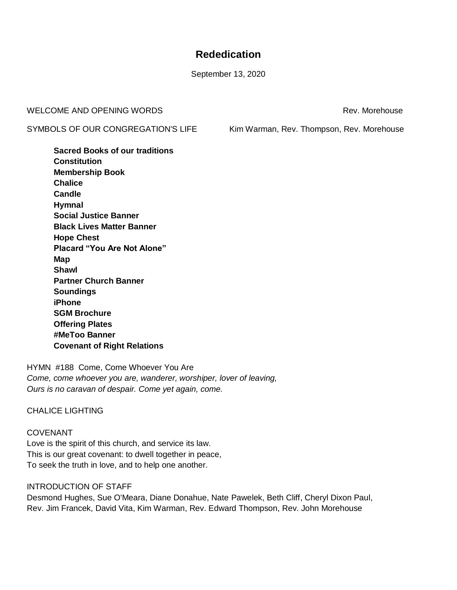# **Rededication**

September 13, 2020

WELCOME AND OPENING WORDS **Rev. And All Annual Structure Control** Rev. Morehouse

SYMBOLS OF OUR CONGREGATION'S LIFE Kim Warman, Rev. Thompson, Rev. Morehouse

**Sacred Books of our traditions Constitution Membership Book Chalice Candle Hymnal Social Justice Banner Black Lives Matter Banner Hope Chest Placard "You Are Not Alone" Map Shawl Partner Church Banner Soundings iPhone SGM Brochure Offering Plates #MeToo Banner Covenant of Right Relations**

HYMN #188 Come, Come Whoever You Are *Come, come whoever you are, wanderer, worshiper, lover of leaving, Ours is no caravan of despair. Come yet again, come.*

## CHALICE LIGHTING

# COVENANT

Love is the spirit of this church, and service its law. This is our great covenant: to dwell together in peace, To seek the truth in love, and to help one another.

## INTRODUCTION OF STAFF

Desmond Hughes, Sue O'Meara, Diane Donahue, Nate Pawelek, Beth Cliff, Cheryl Dixon Paul, Rev. Jim Francek, David Vita, Kim Warman, Rev. Edward Thompson, Rev. John Morehouse